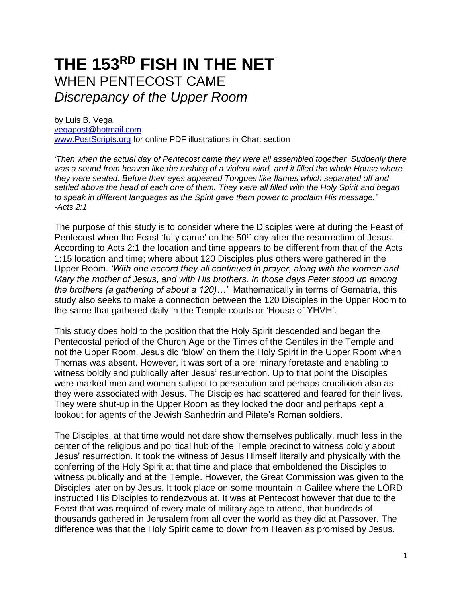# **THE 153RD FISH IN THE NET** WHEN PENTECOST CAME *Discrepancy of the Upper Room*

by Luis B. Vega [vegapost@hotmail.com](mailto:vegapost@hotmail.com) [www.PostScripts.org](http://www.postscripts.org/) for online PDF illustrations in Chart section

*'Then when the actual day of Pentecost came they were all assembled together. Suddenly there was a sound from heaven like the rushing of a violent wind, and it filled the whole House where they were seated. Before their eyes appeared Tongues like flames which separated off and settled above the head of each one of them. They were all filled with the Holy Spirit and began to speak in different languages as the Spirit gave them power to proclaim His message.' -Acts 2:1*

The purpose of this study is to consider where the Disciples were at during the Feast of Pentecost when the Feast 'fully came' on the 50<sup>th</sup> day after the resurrection of Jesus. According to Acts 2:1 the location and time appears to be different from that of the Acts 1:15 location and time; where about 120 Disciples plus others were gathered in the Upper Room. *'With one accord they all continued in prayer, along with the women and Mary the mother of Jesus, and with His brothers. In those days Peter stood up among the brothers (a gathering of about a 120)…'* Mathematically in terms of Gematria, this study also seeks to make a connection between the 120 Disciples in the Upper Room to the same that gathered daily in the Temple courts or 'House of YHVH'.

This study does hold to the position that the Holy Spirit descended and began the Pentecostal period of the Church Age or the Times of the Gentiles in the Temple and not the Upper Room. Jesus did 'blow' on them the Holy Spirit in the Upper Room when Thomas was absent. However, it was sort of a preliminary foretaste and enabling to witness boldly and publically after Jesus' resurrection. Up to that point the Disciples were marked men and women subject to persecution and perhaps crucifixion also as they were associated with Jesus. The Disciples had scattered and feared for their lives. They were shut-up in the Upper Room as they locked the door and perhaps kept a lookout for agents of the Jewish Sanhedrin and Pilate's Roman soldiers.

The Disciples, at that time would not dare show themselves publically, much less in the center of the religious and political hub of the Temple precinct to witness boldly about Jesus' resurrection. It took the witness of Jesus Himself literally and physically with the conferring of the Holy Spirit at that time and place that emboldened the Disciples to witness publically and at the Temple. However, the Great Commission was given to the Disciples later on by Jesus. It took place on some mountain in Galilee where the LORD instructed His Disciples to rendezvous at. It was at Pentecost however that due to the Feast that was required of every male of military age to attend, that hundreds of thousands gathered in Jerusalem from all over the world as they did at Passover. The difference was that the Holy Spirit came to down from Heaven as promised by Jesus.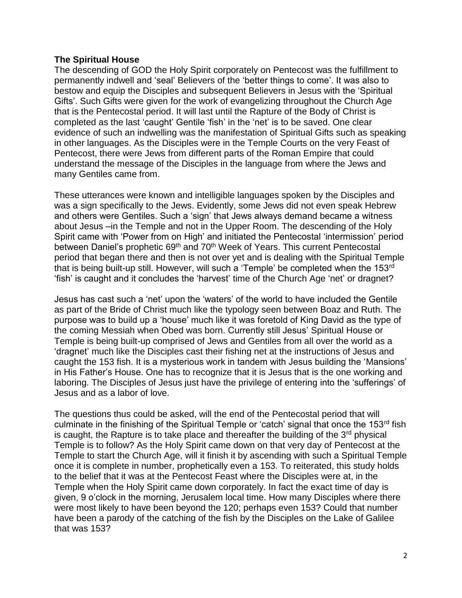### **The Spiritual House**

The descending of GOD the Holy Spirit corporately on Pentecost was the fulfillment to permanently indwell and 'seal' Believers of the 'better things to come'. It was also to bestow and equip the Disciples and subsequent Believers in Jesus with the 'Spiritual Gifts'. Such Gifts were given for the work of evangelizing throughout the Church Age that is the Pentecostal period. It will last until the Rapture of the Body of Christ is completed as the last 'caught' Gentile 'fish' in the 'net' is to be saved. One clear evidence of such an indwelling was the manifestation of Spiritual Gifts such as speaking in other languages. As the Disciples were in the Temple Courts on the very Feast of Pentecost, there were Jews from different parts of the Roman Empire that could understand the message of the Disciples in the language from where the Jews and many Gentiles came from.

These utterances were known and intelligible languages spoken by the Disciples and was a sign specifically to the Jews. Evidently, some Jews did not even speak Hebrew and others were Gentiles. Such a 'sign' that Jews always demand became a witness about Jesus –in the Temple and not in the Upper Room. The descending of the Holy Spirit came with 'Power from on High' and initiated the Pentecostal 'intermission' period between Daniel's prophetic 69<sup>th</sup> and 70<sup>th</sup> Week of Years. This current Pentecostal period that began there and then is not over yet and is dealing with the Spiritual Temple that is being built-up still. However, will such a 'Temple' be completed when the 153<sup>rd</sup> 'fish' is caught and it concludes the 'harvest' time of the Church Age 'net' or dragnet?

Jesus has cast such a 'net' upon the 'waters' of the world to have included the Gentile as part of the Bride of Christ much like the typology seen between Boaz and Ruth. The purpose was to build up a 'house' much like it was foretold of King David as the type of the coming Messiah when Obed was born. Currently still Jesus' Spiritual House or Temple is being built-up comprised of Jews and Gentiles from all over the world as a 'dragnet' much like the Disciples cast their fishing net at the instructions of Jesus and caught the 153 fish. It is a mysterious work in tandem with Jesus building the 'Mansions' in His Father's House. One has to recognize that it is Jesus that is the one working and laboring. The Disciples of Jesus just have the privilege of entering into the 'sufferings' of Jesus and as a labor of love.

The questions thus could be asked, will the end of the Pentecostal period that will culminate in the finishing of the Spiritual Temple or 'catch' signal that once the 153<sup>rd</sup> fish is caught, the Rapture is to take place and thereafter the building of the  $3<sup>rd</sup>$  physical Temple is to follow? As the Holy Spirit came down on that very day of Pentecost at the Temple to start the Church Age, will it finish it by ascending with such a Spiritual Temple once it is complete in number, prophetically even a 153. To reiterated, this study holds to the belief that it was at the Pentecost Feast where the Disciples were at, in the Temple when the Holy Spirit came down corporately. In fact the exact time of day is given, 9 o'clock in the morning, Jerusalem local time. How many Disciples where there were most likely to have been beyond the 120; perhaps even 153? Could that number have been a parody of the catching of the fish by the Disciples on the Lake of Galilee that was 153?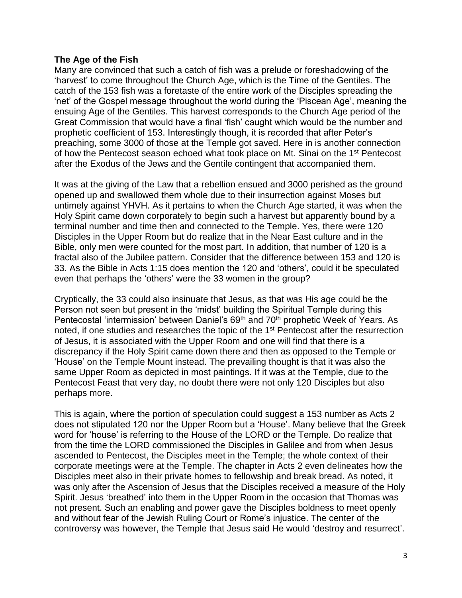### **The Age of the Fish**

Many are convinced that such a catch of fish was a prelude or foreshadowing of the 'harvest' to come throughout the Church Age, which is the Time of the Gentiles. The catch of the 153 fish was a foretaste of the entire work of the Disciples spreading the 'net' of the Gospel message throughout the world during the 'Piscean Age', meaning the ensuing Age of the Gentiles. This harvest corresponds to the Church Age period of the Great Commission that would have a final 'fish' caught which would be the number and prophetic coefficient of 153. Interestingly though, it is recorded that after Peter's preaching, some 3000 of those at the Temple got saved. Here in is another connection of how the Pentecost season echoed what took place on Mt. Sinai on the 1st Pentecost after the Exodus of the Jews and the Gentile contingent that accompanied them.

It was at the giving of the Law that a rebellion ensued and 3000 perished as the ground opened up and swallowed them whole due to their insurrection against Moses but untimely against YHVH. As it pertains to when the Church Age started, it was when the Holy Spirit came down corporately to begin such a harvest but apparently bound by a terminal number and time then and connected to the Temple. Yes, there were 120 Disciples in the Upper Room but do realize that in the Near East culture and in the Bible, only men were counted for the most part. In addition, that number of 120 is a fractal also of the Jubilee pattern. Consider that the difference between 153 and 120 is 33. As the Bible in Acts 1:15 does mention the 120 and 'others', could it be speculated even that perhaps the 'others' were the 33 women in the group?

Cryptically, the 33 could also insinuate that Jesus, as that was His age could be the Person not seen but present in the 'midst' building the Spiritual Temple during this Pentecostal 'intermission' between Daniel's 69<sup>th</sup> and 70<sup>th</sup> prophetic Week of Years. As noted, if one studies and researches the topic of the 1st Pentecost after the resurrection of Jesus, it is associated with the Upper Room and one will find that there is a discrepancy if the Holy Spirit came down there and then as opposed to the Temple or 'House' on the Temple Mount instead. The prevailing thought is that it was also the same Upper Room as depicted in most paintings. If it was at the Temple, due to the Pentecost Feast that very day, no doubt there were not only 120 Disciples but also perhaps more.

This is again, where the portion of speculation could suggest a 153 number as Acts 2 does not stipulated 120 nor the Upper Room but a 'House'. Many believe that the Greek word for 'house' is referring to the House of the LORD or the Temple. Do realize that from the time the LORD commissioned the Disciples in Galilee and from when Jesus ascended to Pentecost, the Disciples meet in the Temple; the whole context of their corporate meetings were at the Temple. The chapter in Acts 2 even delineates how the Disciples meet also in their private homes to fellowship and break bread. As noted, it was only after the Ascension of Jesus that the Disciples received a measure of the Holy Spirit. Jesus 'breathed' into them in the Upper Room in the occasion that Thomas was not present. Such an enabling and power gave the Disciples boldness to meet openly and without fear of the Jewish Ruling Court or Rome's injustice. The center of the controversy was however, the Temple that Jesus said He would 'destroy and resurrect'.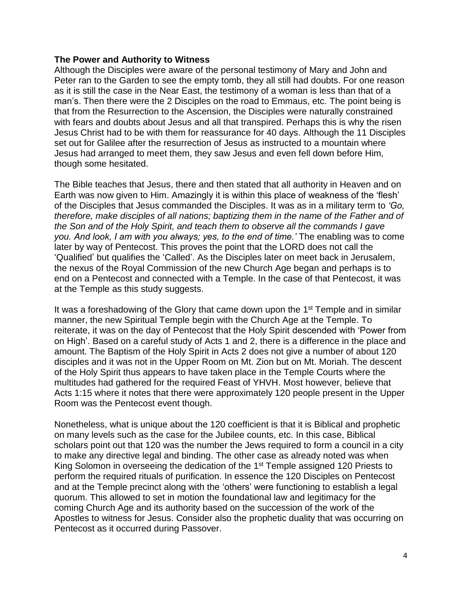### **The Power and Authority to Witness**

Although the Disciples were aware of the personal testimony of Mary and John and Peter ran to the Garden to see the empty tomb, they all still had doubts. For one reason as it is still the case in the Near East, the testimony of a woman is less than that of a man's. Then there were the 2 Disciples on the road to Emmaus, etc. The point being is that from the Resurrection to the Ascension, the Disciples were naturally constrained with fears and doubts about Jesus and all that transpired. Perhaps this is why the risen Jesus Christ had to be with them for reassurance for 40 days. Although the 11 Disciples set out for Galilee after the resurrection of Jesus as instructed to a mountain where Jesus had arranged to meet them, they saw Jesus and even fell down before Him, though some hesitated.

The Bible teaches that Jesus, there and then stated that all authority in Heaven and on Earth was now given to Him. Amazingly it is within this place of weakness of the 'flesh' of the Disciples that Jesus commanded the Disciples. It was as in a military term to *'Go, therefore, make disciples of all nations; baptizing them in the name of the Father and of the Son and of the Holy Spirit, and teach them to observe all the commands I gave you. And look, I am with you always; yes, to the end of time.'* The enabling was to come later by way of Pentecost. This proves the point that the LORD does not call the 'Qualified' but qualifies the 'Called'. As the Disciples later on meet back in Jerusalem, the nexus of the Royal Commission of the new Church Age began and perhaps is to end on a Pentecost and connected with a Temple. In the case of that Pentecost, it was at the Temple as this study suggests.

It was a foreshadowing of the Glory that came down upon the 1<sup>st</sup> Temple and in similar manner, the new Spiritual Temple begin with the Church Age at the Temple. To reiterate, it was on the day of Pentecost that the Holy Spirit descended with 'Power from on High'. Based on a careful study of Acts 1 and 2, there is a difference in the place and amount. The Baptism of the Holy Spirit in Acts 2 does not give a number of about 120 disciples and it was not in the Upper Room on Mt. Zion but on Mt. Moriah. The descent of the Holy Spirit thus appears to have taken place in the Temple Courts where the multitudes had gathered for the required Feast of YHVH. Most however, believe that Acts 1:15 where it notes that there were approximately 120 people present in the Upper Room was the Pentecost event though.

Nonetheless, what is unique about the 120 coefficient is that it is Biblical and prophetic on many levels such as the case for the Jubilee counts, etc. In this case, Biblical scholars point out that 120 was the number the Jews required to form a council in a city to make any directive legal and binding. The other case as already noted was when King Solomon in overseeing the dedication of the 1<sup>st</sup> Temple assigned 120 Priests to perform the required rituals of purification. In essence the 120 Disciples on Pentecost and at the Temple precinct along with the 'others' were functioning to establish a legal quorum. This allowed to set in motion the foundational law and legitimacy for the coming Church Age and its authority based on the succession of the work of the Apostles to witness for Jesus. Consider also the prophetic duality that was occurring on Pentecost as it occurred during Passover.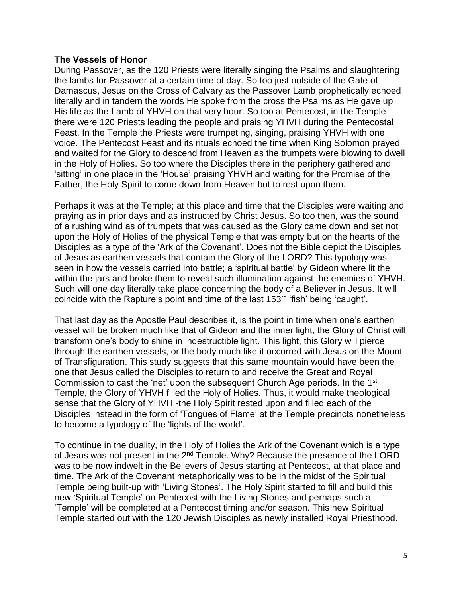#### **The Vessels of Honor**

During Passover, as the 120 Priests were literally singing the Psalms and slaughtering the lambs for Passover at a certain time of day. So too just outside of the Gate of Damascus, Jesus on the Cross of Calvary as the Passover Lamb prophetically echoed literally and in tandem the words He spoke from the cross the Psalms as He gave up His life as the Lamb of YHVH on that very hour. So too at Pentecost, in the Temple there were 120 Priests leading the people and praising YHVH during the Pentecostal Feast. In the Temple the Priests were trumpeting, singing, praising YHVH with one voice. The Pentecost Feast and its rituals echoed the time when King Solomon prayed and waited for the Glory to descend from Heaven as the trumpets were blowing to dwell in the Holy of Holies. So too where the Disciples there in the periphery gathered and 'sitting' in one place in the 'House' praising YHVH and waiting for the Promise of the Father, the Holy Spirit to come down from Heaven but to rest upon them.

Perhaps it was at the Temple; at this place and time that the Disciples were waiting and praying as in prior days and as instructed by Christ Jesus. So too then, was the sound of a rushing wind as of trumpets that was caused as the Glory came down and set not upon the Holy of Holies of the physical Temple that was empty but on the hearts of the Disciples as a type of the 'Ark of the Covenant'. Does not the Bible depict the Disciples of Jesus as earthen vessels that contain the Glory of the LORD? This typology was seen in how the vessels carried into battle; a 'spiritual battle' by Gideon where lit the within the jars and broke them to reveal such illumination against the enemies of YHVH. Such will one day literally take place concerning the body of a Believer in Jesus. It will coincide with the Rapture's point and time of the last 153rd 'fish' being 'caught'.

That last day as the Apostle Paul describes it, is the point in time when one's earthen vessel will be broken much like that of Gideon and the inner light, the Glory of Christ will transform one's body to shine in indestructible light. This light, this Glory will pierce through the earthen vessels, or the body much like it occurred with Jesus on the Mount of Transfiguration. This study suggests that this same mountain would have been the one that Jesus called the Disciples to return to and receive the Great and Royal Commission to cast the 'net' upon the subsequent Church Age periods. In the 1<sup>st</sup> Temple, the Glory of YHVH filled the Holy of Holies. Thus, it would make theological sense that the Glory of YHVH -the Holy Spirit rested upon and filled each of the Disciples instead in the form of 'Tongues of Flame' at the Temple precincts nonetheless to become a typology of the 'lights of the world'.

To continue in the duality, in the Holy of Holies the Ark of the Covenant which is a type of Jesus was not present in the 2nd Temple. Why? Because the presence of the LORD was to be now indwelt in the Believers of Jesus starting at Pentecost, at that place and time. The Ark of the Covenant metaphorically was to be in the midst of the Spiritual Temple being built-up with 'Living Stones'. The Holy Spirit started to fill and build this new 'Spiritual Temple' on Pentecost with the Living Stones and perhaps such a 'Temple' will be completed at a Pentecost timing and/or season. This new Spiritual Temple started out with the 120 Jewish Disciples as newly installed Royal Priesthood.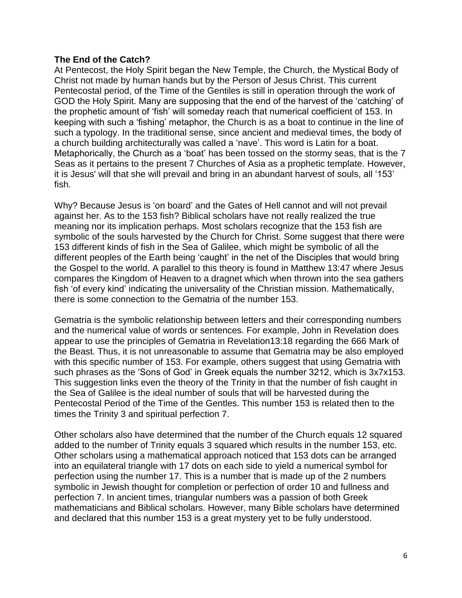### **The End of the Catch?**

At Pentecost, the Holy Spirit began the New Temple, the Church, the Mystical Body of Christ not made by human hands but by the Person of Jesus Christ. This current Pentecostal period, of the Time of the Gentiles is still in operation through the work of GOD the Holy Spirit. Many are supposing that the end of the harvest of the 'catching' of the prophetic amount of 'fish' will someday reach that numerical coefficient of 153. In keeping with such a 'fishing' metaphor, the Church is as a boat to continue in the line of such a typology. In the traditional sense, since ancient and medieval times, the body of a church building architecturally was called a 'nave'. This word is Latin for a boat. Metaphorically, the Church as a 'boat' has been tossed on the stormy seas, that is the 7 Seas as it pertains to the present 7 Churches of Asia as a prophetic template. However, it is Jesus' will that she will prevail and bring in an abundant harvest of souls, all '153' fish.

Why? Because Jesus is 'on board' and the Gates of Hell cannot and will not prevail against her. As to the 153 fish? Biblical scholars have not really realized the true meaning nor its implication perhaps. Most scholars recognize that the 153 fish are symbolic of the souls harvested by the Church for Christ. Some suggest that there were 153 different kinds of fish in the Sea of Galilee, which might be symbolic of all the different peoples of the Earth being 'caught' in the net of the Disciples that would bring the Gospel to the world. A parallel to this theory is found in Matthew 13:47 where Jesus compares the Kingdom of Heaven to a dragnet which when thrown into the sea gathers fish 'of every kind' indicating the universality of the Christian mission. Mathematically, there is some connection to the Gematria of the number 153.

Gematria is the symbolic relationship between letters and their corresponding numbers and the numerical value of words or sentences. For example, John in Revelation does appear to use the principles of Gematria in Revelation13:18 regarding the 666 Mark of the Beast. Thus, it is not unreasonable to assume that Gematria may be also employed with this specific number of 153. For example, others suggest that using Gematria with such phrases as the 'Sons of God' in Greek equals the number 3212, which is 3x7x153. This suggestion links even the theory of the Trinity in that the number of fish caught in the Sea of Galilee is the ideal number of souls that will be harvested during the Pentecostal Period of the Time of the Gentles. This number 153 is related then to the times the Trinity 3 and spiritual perfection 7.

Other scholars also have determined that the number of the Church equals 12 squared added to the number of Trinity equals 3 squared which results in the number 153, etc. Other scholars using a mathematical approach noticed that 153 dots can be arranged into an equilateral triangle with 17 dots on each side to yield a numerical symbol for perfection using the number 17. This is a number that is made up of the 2 numbers symbolic in Jewish thought for completion or perfection of order 10 and fullness and perfection 7. In ancient times, triangular numbers was a passion of both Greek mathematicians and Biblical scholars. However, many Bible scholars have determined and declared that this number 153 is a great mystery yet to be fully understood.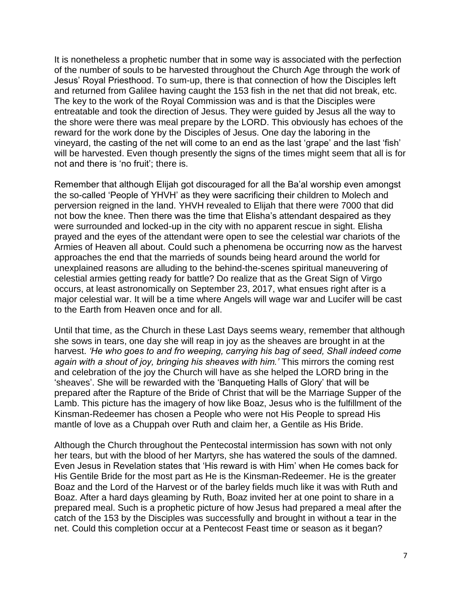It is nonetheless a prophetic number that in some way is associated with the perfection of the number of souls to be harvested throughout the Church Age through the work of Jesus' Royal Priesthood. To sum-up, there is that connection of how the Disciples left and returned from Galilee having caught the 153 fish in the net that did not break, etc. The key to the work of the Royal Commission was and is that the Disciples were entreatable and took the direction of Jesus. They were guided by Jesus all the way to the shore were there was meal prepare by the LORD. This obviously has echoes of the reward for the work done by the Disciples of Jesus. One day the laboring in the vineyard, the casting of the net will come to an end as the last 'grape' and the last 'fish' will be harvested. Even though presently the signs of the times might seem that all is for not and there is 'no fruit'; there is.

Remember that although Elijah got discouraged for all the Ba'al worship even amongst the so-called 'People of YHVH' as they were sacrificing their children to Molech and perversion reigned in the land. YHVH revealed to Elijah that there were 7000 that did not bow the knee. Then there was the time that Elisha's attendant despaired as they were surrounded and locked-up in the city with no apparent rescue in sight. Elisha prayed and the eyes of the attendant were open to see the celestial war chariots of the Armies of Heaven all about. Could such a phenomena be occurring now as the harvest approaches the end that the marrieds of sounds being heard around the world for unexplained reasons are alluding to the behind-the-scenes spiritual maneuvering of celestial armies getting ready for battle? Do realize that as the Great Sign of Virgo occurs, at least astronomically on September 23, 2017, what ensues right after is a major celestial war. It will be a time where Angels will wage war and Lucifer will be cast to the Earth from Heaven once and for all.

Until that time, as the Church in these Last Days seems weary, remember that although she sows in tears, one day she will reap in joy as the sheaves are brought in at the harvest. *'He who goes to and fro weeping, carrying his bag of seed, Shall indeed come again with a shout of joy, bringing his sheaves with him.'* This mirrors the coming rest and celebration of the joy the Church will have as she helped the LORD bring in the 'sheaves'. She will be rewarded with the 'Banqueting Halls of Glory' that will be prepared after the Rapture of the Bride of Christ that will be the Marriage Supper of the Lamb. This picture has the imagery of how like Boaz, Jesus who is the fulfillment of the Kinsman-Redeemer has chosen a People who were not His People to spread His mantle of love as a Chuppah over Ruth and claim her, a Gentile as His Bride.

Although the Church throughout the Pentecostal intermission has sown with not only her tears, but with the blood of her Martyrs, she has watered the souls of the damned. Even Jesus in Revelation states that 'His reward is with Him' when He comes back for His Gentile Bride for the most part as He is the Kinsman-Redeemer. He is the greater Boaz and the Lord of the Harvest or of the barley fields much like it was with Ruth and Boaz. After a hard days gleaming by Ruth, Boaz invited her at one point to share in a prepared meal. Such is a prophetic picture of how Jesus had prepared a meal after the catch of the 153 by the Disciples was successfully and brought in without a tear in the net. Could this completion occur at a Pentecost Feast time or season as it began?